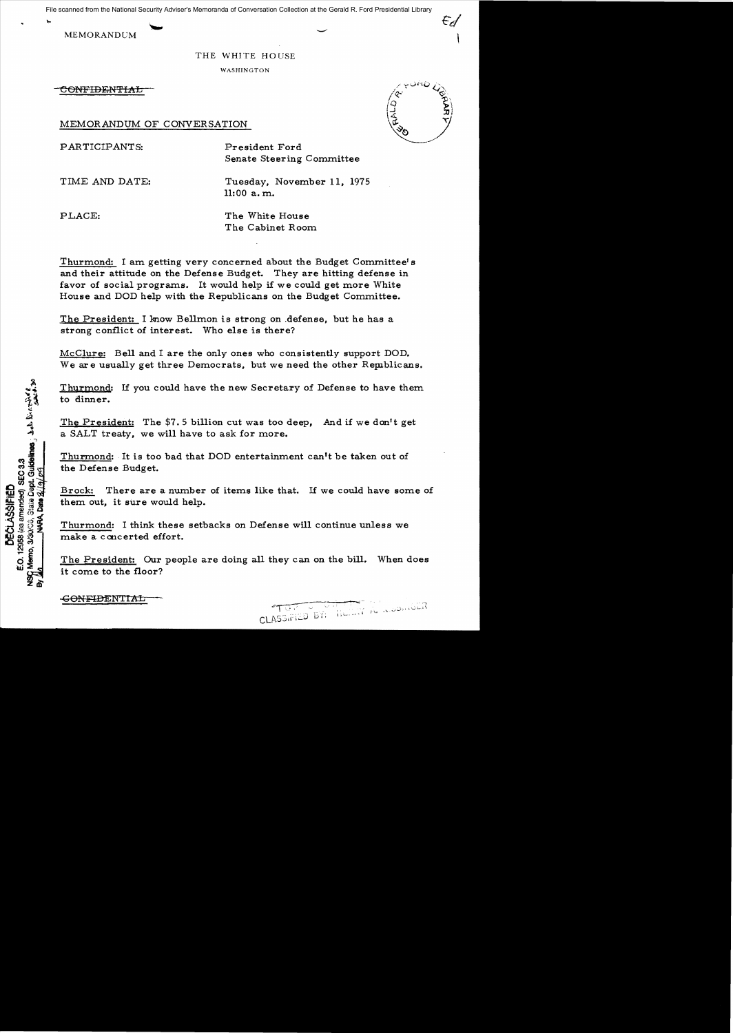File scanned from the National Security Adviser's Memoranda of Conversation Collection at the Gerald R. Ford Presidential Library

MEMORANDUM

## THE WHITE HOUSE

WASHINGTON

-eONFIDEN'l'IAL

MEMORANDUM OF CONVERSATION

PARTICIPANTS: President Ford

Senate Steering Committee

TIME AND DATE: Tuesday, November 11, 1975 11:00 a. m.

PLACE: The White House The Cabinet Room

Thurmond: I am getting very concerned about the Budget Committee's and their attitude on the Defense Budget. They are hitting defense in favor of social programs. It would help if we could get more White House and DOD help with the Republicans on the Budget Committee.

The President: I know Bellmon is strong on .defense, but he has a strong conflict of interest. Who else is there?

McClure: Bell and I are the only ones who consistently support DOD. We are usually get three Democrats, but we need the other Republicans.

Thurmond: If you could have the new Secretary of Defense to have them to dinner.

The President: The  $$7.5$  billion cut was too deep, And if we don't get a SALT treaty, we will have to ask for more.

Thurmond: It is too bad that DOD entertainment can't be taken out of the Defense Budget.

Brock: There are a number of items like that. If we could have some of them out, it sure would help.

Thurmond: I think these setbacks on Defense will continue unless we make a cancerted effort.

The President: Our people are doing all they can on the bill. When does it come to the floor?



Momo, 3/30/06, State Dept. Guidelines , Lab Brittonic 20<br>1. MARA Date 3/19/09 12958 (as amended) SEC 3.3 **DECLASSIPIED** ្លួ **PASA**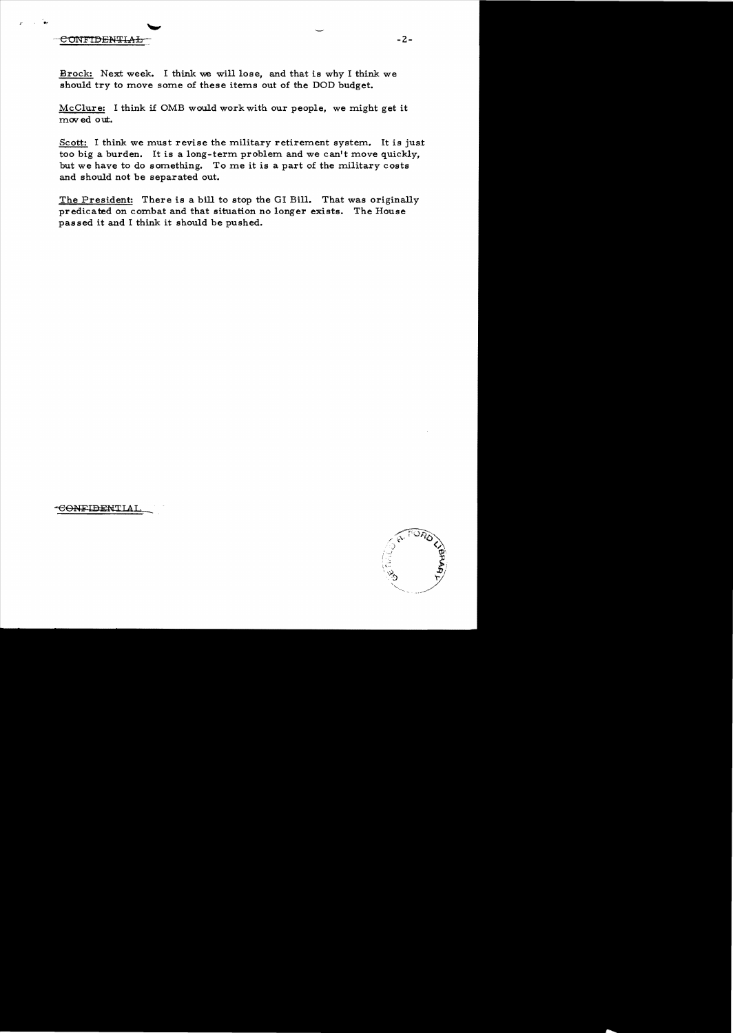CONFIDENTIAL

*F* 

Brock: Next week. I think we will lose, and that is why I think we should try to move some of these items out of the DOD budget.

McClure: I think if OMB would work with our people, we might get it moved out.

Scott: I think we must revise the military retirement system. It is just too big a burden. It is a long-term problem and we can't move quickly, but we have to do something. To me it is a part of the military costs and should not be separated out.

The President: There is a bill to stop the GI Bill. That was originally predicated on combat and that situation no longer exists. The House passed it and I think it should be pushed.

<del>CONFIDEN</del>TIAI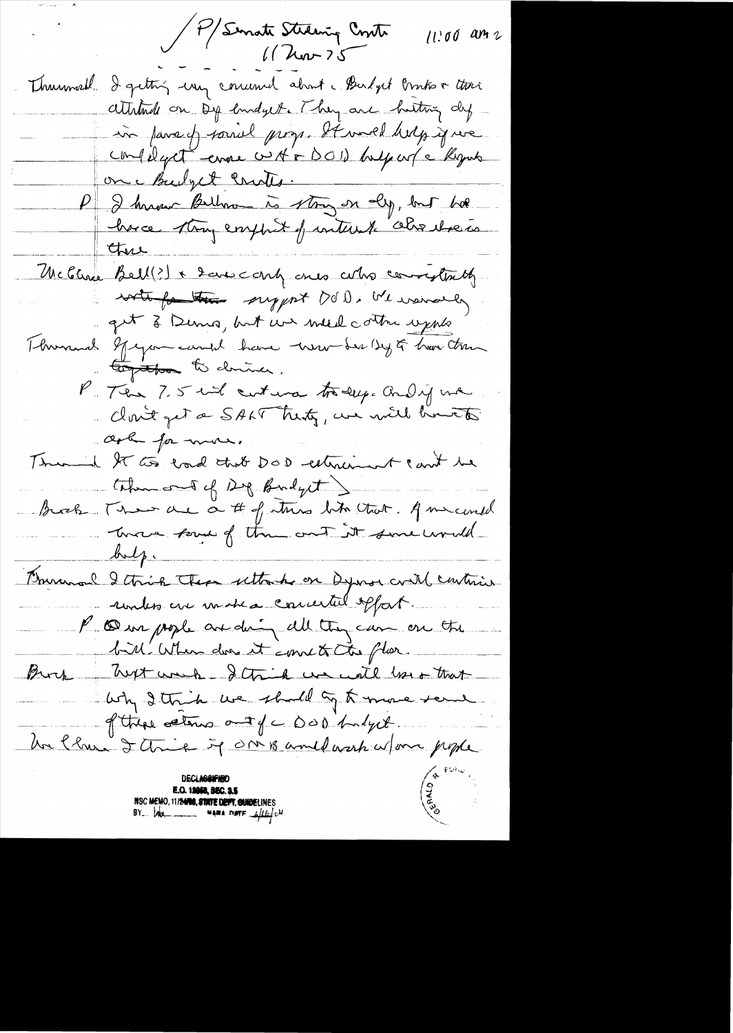P/Senate Stelaning Contr  $11.00$  an z  $1/\lambda$ ur  $25$ 

Thurmoral I getting using concerned about a Budget Printis a there attitude on Dip emodyet. They are hosting dy in parady sound prop. It would help if we confiliget enne custor DOI) bulgar (e Rogan on hubyet contes. P I known Billow is story on ally, but has have they emphat of intent also there there McGlina Bell(?) + 2 are contra cula conveytinty write for the support DOD. We wanted get à Denis, but un med cottre upplé Thomas gregomeand have trember by of har trun Coptbo to driver, P. The 7.5 hol cust was today. And if we dont get a SALT trenty, we will brutte ask for mor. Thursda It too load that DOD estimate can't be themos of Dig Budget Brook That are a # of this list that. A micental Course soud of the cont it sure would  $\mathcal{L}$ Brunnal Ithick There uttache on Dyna could continue unter are more a concerted offort. P compose anding all they can on the bill When does it comet the flor. Buck hust work - I think we will love that why I think we shall by A more send of these cations and of C DOD budget Un Clau I think it OMB and work w/one people NSC MEMO, 11/24/08, STATE DEFT. GUIDELINES<br>BY. MA. MARA DIFF Lille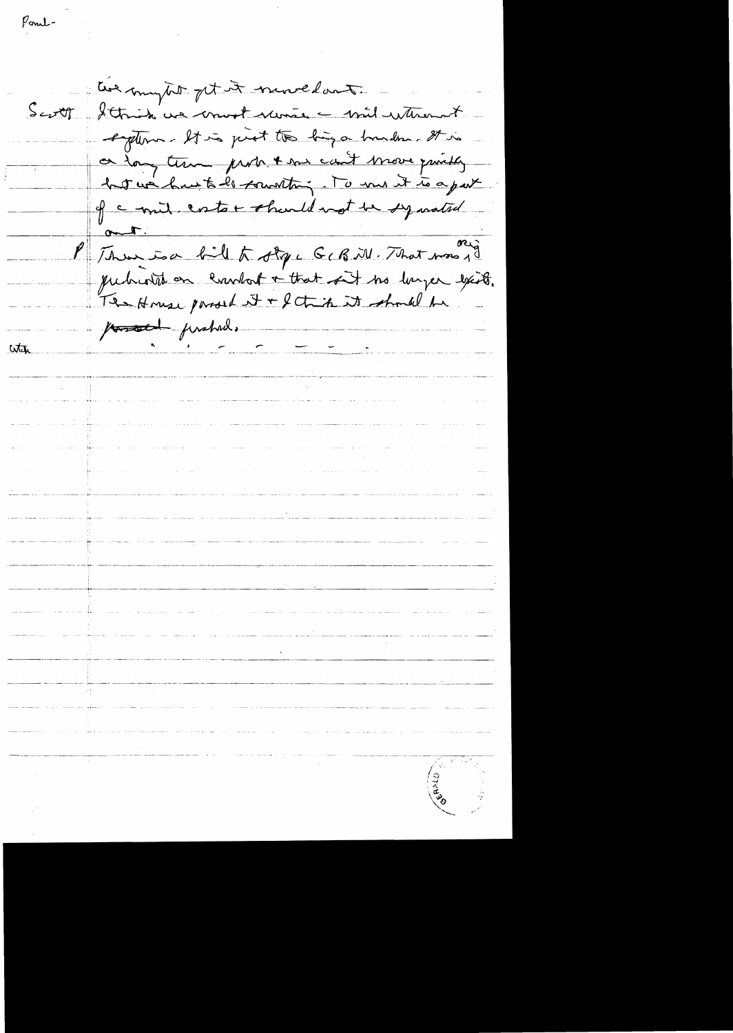Ponel-

the mytit get it numedant. Scott Strik ve mot vans = mil utment sigtern - It is just to big a bunder. It is or tong temme probe tous cout move quickly of a mil ester should not be symated  $rac{1}{\sqrt{1-\frac{1}{\sqrt{1-\frac{1}{\sqrt{1-\frac{1}{\sqrt{1-\frac{1}{\sqrt{1-\frac{1}{\sqrt{1-\frac{1}{\sqrt{1-\frac{1}{\sqrt{1-\frac{1}{\sqrt{1-\frac{1}{\sqrt{1-\frac{1}{\sqrt{1-\frac{1}{\sqrt{1-\frac{1}{\sqrt{1-\frac{1}{\sqrt{1-\frac{1}{\sqrt{1-\frac{1}{\sqrt{1-\frac{1}{\sqrt{1-\frac{1}{\sqrt{1-\frac{1}{\sqrt{1-\frac{1}{\sqrt{1-\frac{1}{\sqrt{1-\frac{1}{\sqrt{1-\frac{1}{\sqrt{1-\frac{1}{\sqrt{1-\frac{1}{$ P Thus is a fill to other G & R M. That was 10 quite on condat + that of the larger exists. The House parol it + fetich it should be possed prohad. with المنادر التي العادة والمنادر وفي سيسور ولايشيدي والمستشفل <del>والاداميلي</del> والمستشفل a de la construcción de la construcción de la componente de la construcción de la construcción de la component<br>La construcción de la construcción de la construcción de la construcción de la construcción de la construcción مسسل الراسي الماد سير الشكل ويتسار والمدمان المرضى الراسسية المدراء الكاسعية كالراسية المدماني المدرون المداوس<br>المسار المدراسية<br>الموارد n de la componentación de la componentación de la componentación de la componentación de la componentación emp<br>En la componentación de la componentación de la componentación de la componentación de la componentación de la ngua picto cabo do mas<sup>i</sup> volta como co colonadamente del provincia cabo de mateixa con estado de alta e altrición